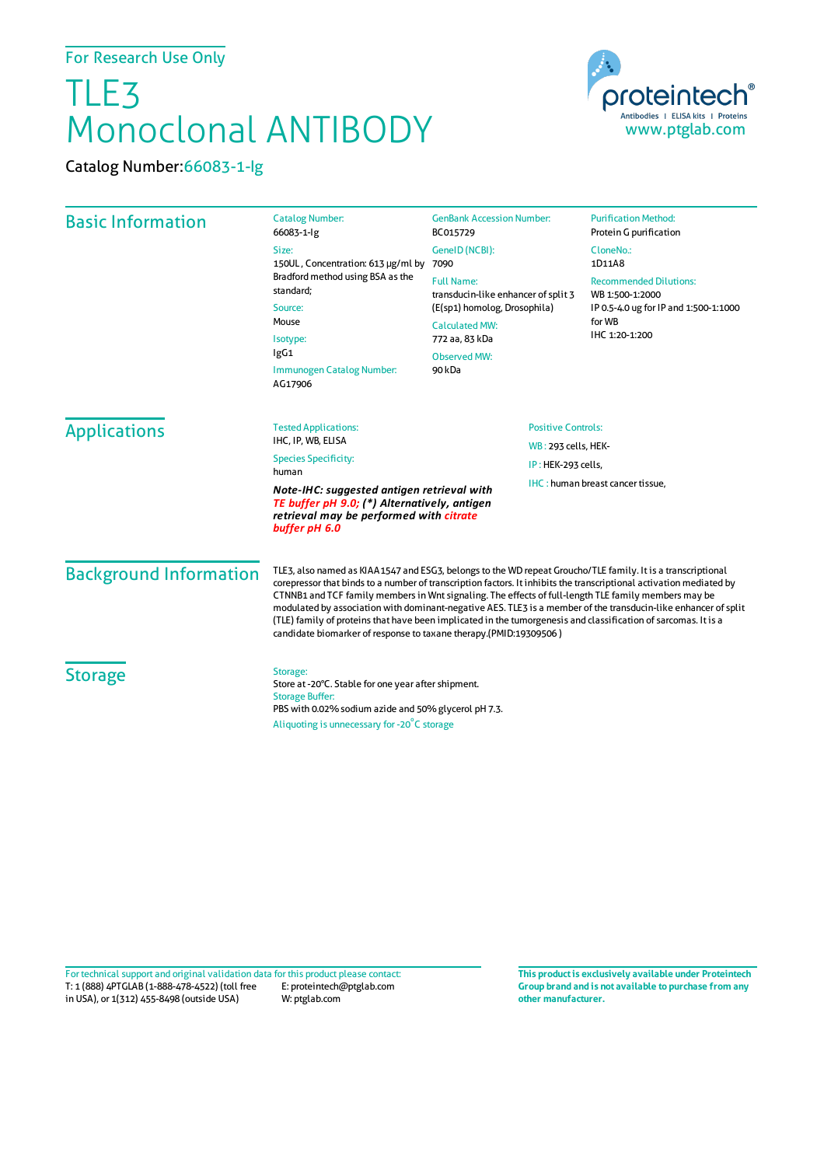## TLE3 Monoclonal ANTIBODY

Catalog Number:66083-1-Ig



| <b>Basic Information</b>                                                                                                                               | <b>Catalog Number:</b><br>66083-1-lg                                                                                                                                                                                                                                                                                                                                                                                                                                                                                                                                                                                                                | <b>GenBank Accession Number:</b><br>BC015729                                                                                                                  | <b>Purification Method:</b><br>Protein G purification                                                                 |                     |                                                                                           |                           |  |
|--------------------------------------------------------------------------------------------------------------------------------------------------------|-----------------------------------------------------------------------------------------------------------------------------------------------------------------------------------------------------------------------------------------------------------------------------------------------------------------------------------------------------------------------------------------------------------------------------------------------------------------------------------------------------------------------------------------------------------------------------------------------------------------------------------------------------|---------------------------------------------------------------------------------------------------------------------------------------------------------------|-----------------------------------------------------------------------------------------------------------------------|---------------------|-------------------------------------------------------------------------------------------|---------------------------|--|
|                                                                                                                                                        | Size:<br>150UL, Concentration: 613 µg/ml by<br>Bradford method using BSA as the<br>standard:<br>Source:<br>Mouse<br>Isotype:<br>IgG1<br>Immunogen Catalog Number:<br>AG17906                                                                                                                                                                                                                                                                                                                                                                                                                                                                        | GeneID (NCBI):<br>7090                                                                                                                                        | CloneNo.:<br>1D11A8                                                                                                   |                     |                                                                                           |                           |  |
|                                                                                                                                                        |                                                                                                                                                                                                                                                                                                                                                                                                                                                                                                                                                                                                                                                     | <b>Full Name:</b><br>transducin-like enhancer of split 3<br>(E(sp1) homolog, Drosophila)<br><b>Calculated MW:</b><br>772 aa, 83 kDa<br>Observed MW:<br>90 kDa | <b>Recommended Dilutions:</b><br>WB 1:500-1:2000<br>IP 0.5-4.0 ug for IP and 1:500-1:1000<br>for WB<br>IHC 1:20-1:200 |                     |                                                                                           |                           |  |
|                                                                                                                                                        |                                                                                                                                                                                                                                                                                                                                                                                                                                                                                                                                                                                                                                                     |                                                                                                                                                               |                                                                                                                       | <b>Applications</b> | <b>Tested Applications:</b><br>IHC, IP, WB, ELISA<br><b>Species Specificity:</b><br>human | <b>Positive Controls:</b> |  |
|                                                                                                                                                        |                                                                                                                                                                                                                                                                                                                                                                                                                                                                                                                                                                                                                                                     |                                                                                                                                                               |                                                                                                                       |                     |                                                                                           | WB: 293 cells, HEK-       |  |
|                                                                                                                                                        |                                                                                                                                                                                                                                                                                                                                                                                                                                                                                                                                                                                                                                                     |                                                                                                                                                               |                                                                                                                       |                     |                                                                                           | IP: HEK-293 cells,        |  |
| Note-IHC: suggested antigen retrieval with<br>TE buffer pH 9.0; (*) Alternatively, antigen<br>retrieval may be performed with citrate<br>buffer pH 6.0 |                                                                                                                                                                                                                                                                                                                                                                                                                                                                                                                                                                                                                                                     | IHC: human breast cancer tissue,                                                                                                                              |                                                                                                                       |                     |                                                                                           |                           |  |
| <b>Background Information</b>                                                                                                                          | TLE3, also named as KIAA1547 and ESG3, belongs to the WD repeat Groucho/TLE family. It is a transcriptional<br>corepressor that binds to a number of transcription factors. It inhibits the transcriptional activation mediated by<br>CTNNB1 and TCF family members in Wnt signaling. The effects of full-length TLE family members may be<br>modulated by association with dominant-negative AES. TLE3 is a member of the transducin-like enhancer of split<br>(TLE) family of proteins that have been implicated in the tumorgenesis and classification of sarcomas. It is a<br>candidate biomarker of response to taxane therapy.(PMID:19309506) |                                                                                                                                                               |                                                                                                                       |                     |                                                                                           |                           |  |
| <b>Storage</b>                                                                                                                                         | Storage:<br>Store at -20°C. Stable for one year after shipment.<br><b>Storage Buffer:</b><br>PBS with 0.02% sodium azide and 50% glycerol pH 7.3.<br>Aliquoting is unnecessary for -20 <sup>°</sup> C storage                                                                                                                                                                                                                                                                                                                                                                                                                                       |                                                                                                                                                               |                                                                                                                       |                     |                                                                                           |                           |  |

T: 1 (888) 4PTGLAB (1-888-478-4522) (toll free E: proteintech@ptglab.com in USA), or 1(312) 455-8498 (outside USA) W: ptglab.com Fortechnical support and original validation data forthis product please contact: **This productis exclusively available under Proteintech**

**Group brand and is not available to purchase from any other manufacturer.**